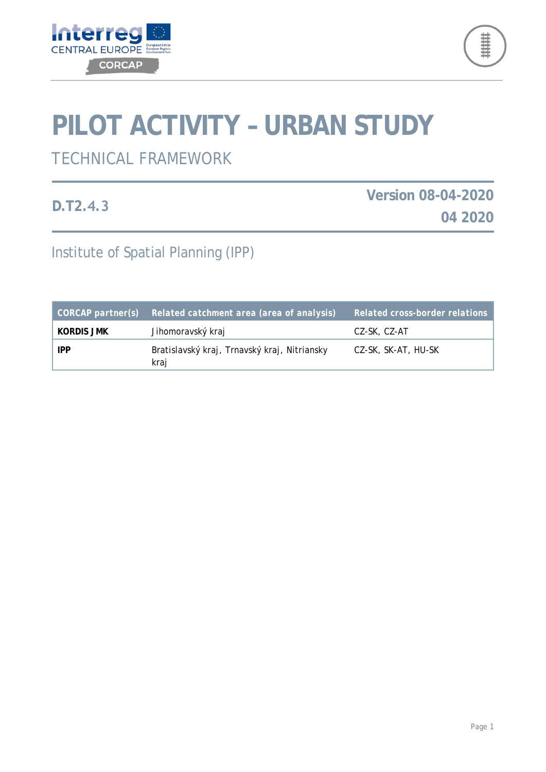



# **PILOT ACTIVITY – URBAN STUDY**

# TECHNICAL FRAMEWORK

**D.T2.4.3**

**Version 08-04-2020 04 2020**

Institute of Spatial Planning (IPP)

| $CORCAP$ partner(s) | Related catchment area (area of analysis)            | <b>Related cross-border relations</b> |
|---------------------|------------------------------------------------------|---------------------------------------|
| Kordis JMK          | Jihomoravský kraj                                    | CZ-SK, CZ-AT                          |
| <b>IPP</b>          | Bratislavský kraj, Trnavský kraj, Nitriansky<br>kraj | CZ-SK, SK-AT, HU-SK                   |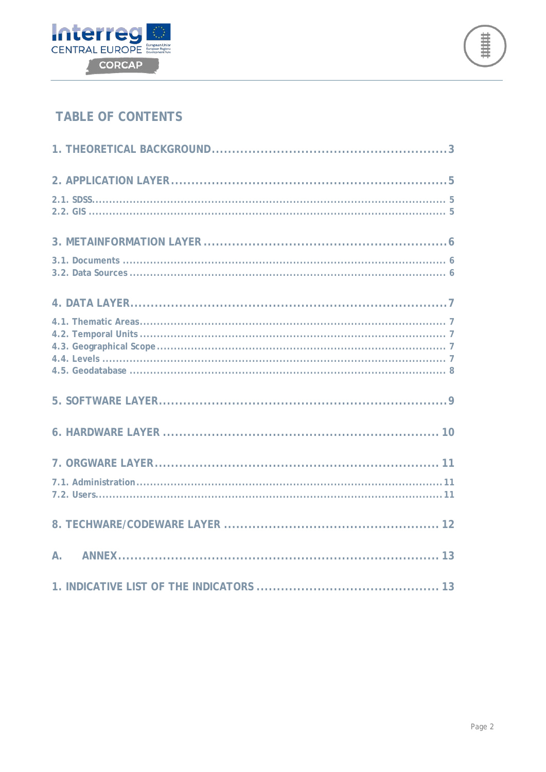



## **TABLE OF CONTENTS**

| $\mathsf{A}$ . |
|----------------|
|                |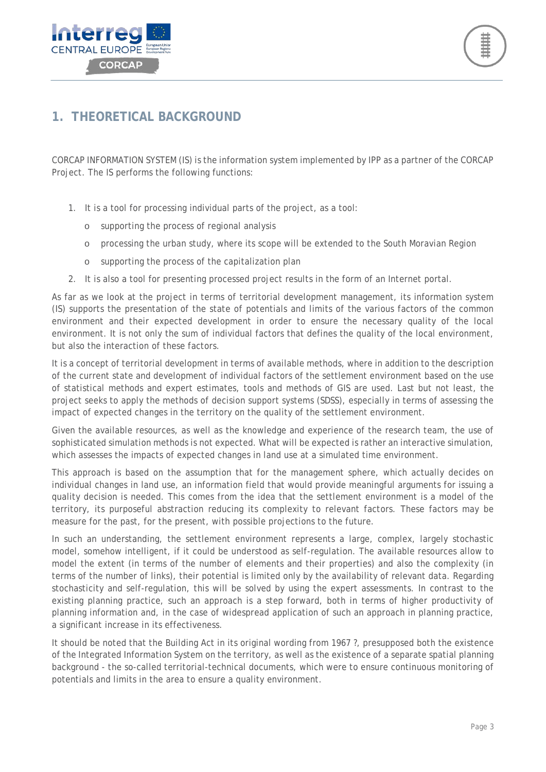



## <span id="page-2-0"></span>**1. THEORETICAL BACKGROUND**

CORCAP INFORMATION SYSTEM (IS) is the information system implemented by IPP as a partner of the CORCAP Project. The IS performs the following functions:

- 1. It is a tool for processing individual parts of the project, as a tool:
	- supporting the process of regional analysis
	- o processing the urban study, where its scope will be extended to the South Moravian Region
	- o supporting the process of the capitalization plan
- 2. It is also a tool for presenting processed project results in the form of an Internet portal.

As far as we look at the project in terms of territorial development management, its information system (IS) supports the presentation of the state of potentials and limits of the various factors of the common environment and their expected development in order to ensure the necessary quality of the local environment. It is not only the sum of individual factors that defines the quality of the local environment, but also the interaction of these factors.

It is a concept of territorial development in terms of available methods, where in addition to the description of the current state and development of individual factors of the settlement environment based on the use of statistical methods and expert estimates, tools and methods of GIS are used. Last but not least, the project seeks to apply the methods of decision support systems (SDSS), especially in terms of assessing the impact of expected changes in the territory on the quality of the settlement environment.

Given the available resources, as well as the knowledge and experience of the research team, the use of sophisticated simulation methods is not expected. What will be expected is rather an interactive simulation, which assesses the impacts of expected changes in land use at a simulated time environment.

This approach is based on the assumption that for the management sphere, which actually decides on individual changes in land use, an information field that would provide meaningful arguments for issuing a quality decision is needed. This comes from the idea that the settlement environment is a model of the territory, its purposeful abstraction reducing its complexity to relevant factors. These factors may be measure for the past, for the present, with possible projections to the future.

In such an understanding, the settlement environment represents a large, complex, largely stochastic model, somehow intelligent, if it could be understood as self-regulation. The available resources allow to model the extent (in terms of the number of elements and their properties) and also the complexity (in terms of the number of links), their potential is limited only by the availability of relevant data. Regarding stochasticity and self-regulation, this will be solved by using the expert assessments. In contrast to the existing planning practice, such an approach is a step forward, both in terms of higher productivity of planning information and, in the case of widespread application of such an approach in planning practice, a significant increase in its effectiveness.

It should be noted that the Building Act in its original wording from 1967 ?, presupposed both the existence of the Integrated Information System on the territory, as well as the existence of a separate spatial planning background - the so-called territorial-technical documents, which were to ensure continuous monitoring of potentials and limits in the area to ensure a quality environment.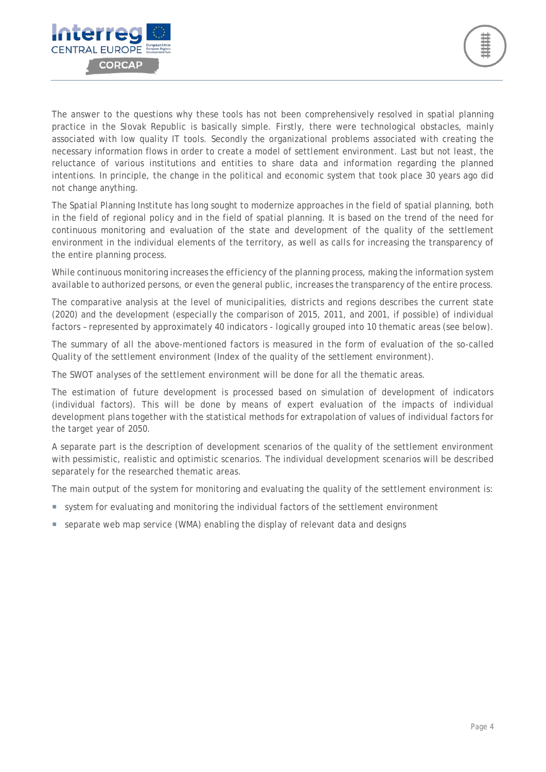

The answer to the questions why these tools has not been comprehensively resolved in spatial planning practice in the Slovak Republic is basically simple. Firstly, there were technological obstacles, mainly associated with low quality IT tools. Secondly the organizational problems associated with creating the necessary information flows in order to create a model of settlement environment. Last but not least, the reluctance of various institutions and entities to share data and information regarding the planned intentions. In principle, the change in the political and economic system that took place 30 years ago did not change anything.

The Spatial Planning Institute has long sought to modernize approaches in the field of spatial planning, both in the field of regional policy and in the field of spatial planning. It is based on the trend of the need for continuous monitoring and evaluation of the state and development of the quality of the settlement environment in the individual elements of the territory, as well as calls for increasing the transparency of the entire planning process.

While continuous monitoring increases the efficiency of the planning process, making the information system available to authorized persons, or even the general public, increases the transparency of the entire process.

The comparative analysis at the level of municipalities, districts and regions describes the current state (2020) and the development (especially the comparison of 2015, 2011, and 2001, if possible) of individual factors – represented by approximately 40 indicators - logically grouped into 10 thematic areas (see below).

The summary of all the above-mentioned factors is measured in the form of evaluation of the so-called Quality of the settlement environment (Index of the quality of the settlement environment).

The SWOT analyses of the settlement environment will be done for all the thematic areas.

The estimation of future development is processed based on simulation of development of indicators (individual factors). This will be done by means of expert evaluation of the impacts of individual development plans together with the statistical methods for extrapolation of values of individual factors for the target year of 2050.

A separate part is the description of development scenarios of the quality of the settlement environment with pessimistic, realistic and optimistic scenarios. The individual development scenarios will be described separately for the researched thematic areas.

The main output of the system for monitoring and evaluating the quality of the settlement environment is:

- system for evaluating and monitoring the individual factors of the settlement environment
- separate web map service (WMA) enabling the display of relevant data and designs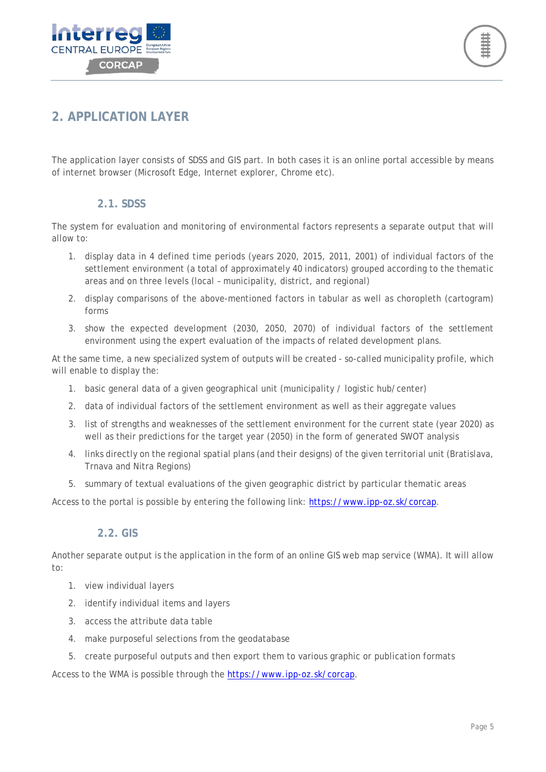



## <span id="page-4-0"></span>**2. APPLICATION LAYER**

The application layer consists of SDSS and GIS part. In both cases it is an online portal accessible by means of internet browser (Microsoft Edge, Internet explorer, Chrome etc).

#### **2.1. SDSS**

<span id="page-4-1"></span>The system for evaluation and monitoring of environmental factors represents a separate output that will allow to:

- 1. display data in 4 defined time periods (years 2020, 2015, 2011, 2001) of individual factors of the settlement environment (a total of approximately 40 indicators) grouped according to the thematic areas and on three levels (local – municipality, district, and regional)
- 2. display comparisons of the above-mentioned factors in tabular as well as choropleth (cartogram) forms
- 3. show the expected development (2030, 2050, 2070) of individual factors of the settlement environment using the expert evaluation of the impacts of related development plans.

At the same time, a new specialized system of outputs will be created - so-called municipality profile, which will enable to display the:

- 1. basic general data of a given geographical unit (municipality / logistic hub/center)
- 2. data of individual factors of the settlement environment as well as their aggregate values
- 3. list of strengths and weaknesses of the settlement environment for the current state (year 2020) as well as their predictions for the target year (2050) in the form of generated SWOT analysis
- 4. links directly on the regional spatial plans (and their designs) of the given territorial unit (Bratislava, Trnava and Nitra Regions)
- 5. summary of textual evaluations of the given geographic district by particular thematic areas

Access to the portal is possible by entering the following link: [https://www.ipp-oz.sk/corcap.](https://www.ipp-oz.sk/corcap)

#### **2.2. GIS**

<span id="page-4-2"></span>Another separate output is the application in the form of an online GIS web map service (WMA). It will allow to:

- 1. view individual layers
- 2. identify individual items and layers
- 3. access the attribute data table
- 4. make purposeful selections from the geodatabase
- 5. create purposeful outputs and then export them to various graphic or publication formats

Access to the WMA is possible through the [https://www.ipp-oz.sk/corcap.](https://www.ipp-oz.sk/corcap)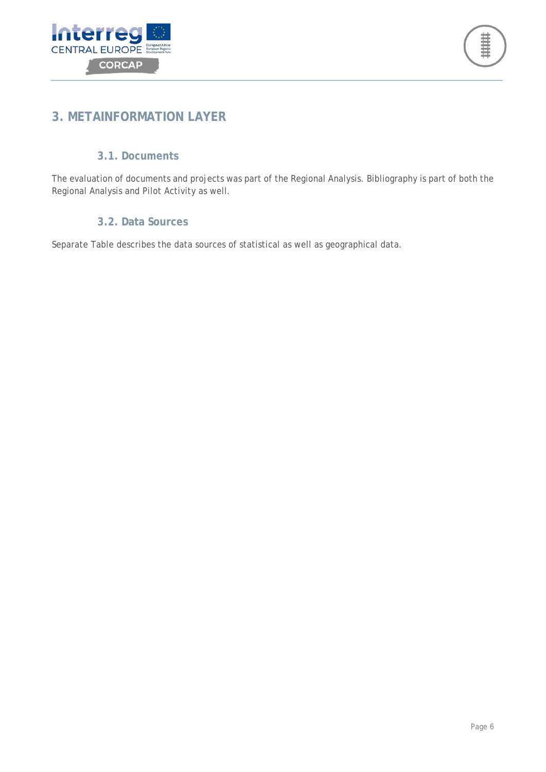



## <span id="page-5-0"></span>**3. METAINFORMATION LAYER**

#### **3.1. Documents**

<span id="page-5-1"></span>The evaluation of documents and projects was part of the Regional Analysis. Bibliography is part of both the Regional Analysis and Pilot Activity as well.

#### **3.2. Data Sources**

<span id="page-5-2"></span>Separate Table describes the data sources of statistical as well as geographical data.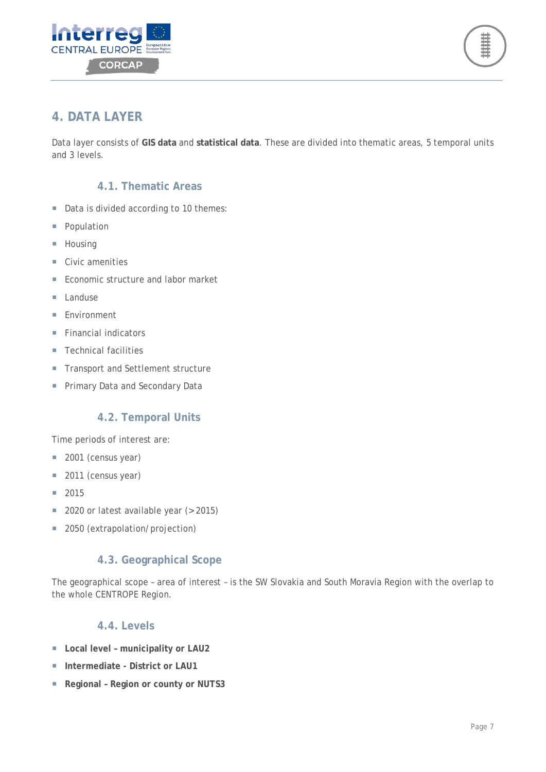



## <span id="page-6-0"></span>**4. DATA LAYER**

Data layer consists of **GIS data** and **statistical data**. These are divided into thematic areas, 5 temporal units and 3 levels.

#### **4.1. Thematic Areas**

- <span id="page-6-1"></span>Data is divided according to 10 themes:
- **Population**
- **Housing**
- Civic amenities
- Economic structure and labor market
- $\blacksquare$  Landuse
- **Environment**
- $\blacksquare$  Financial indicators
- Technical facilities
- **Transport and Settlement structure**
- **Primary Data and Secondary Data**

#### **4.2. Temporal Units**

<span id="page-6-2"></span>Time periods of interest are:

- 2001 (census year)
- 2011 (census year)
- 2015
- 2020 or latest available year (> 2015)
- 2050 (extrapolation/projection)

#### **4.3. Geographical Scope**

<span id="page-6-3"></span>The geographical scope – area of interest – is the SW Slovakia and South Moravia Region with the overlap to the whole CENTROPE Region.

#### **4.4. Levels**

- <span id="page-6-4"></span>**Local level – municipality or LAU2**
- **Intermediate - District or LAU1**
- **Regional Region or county or NUTS3**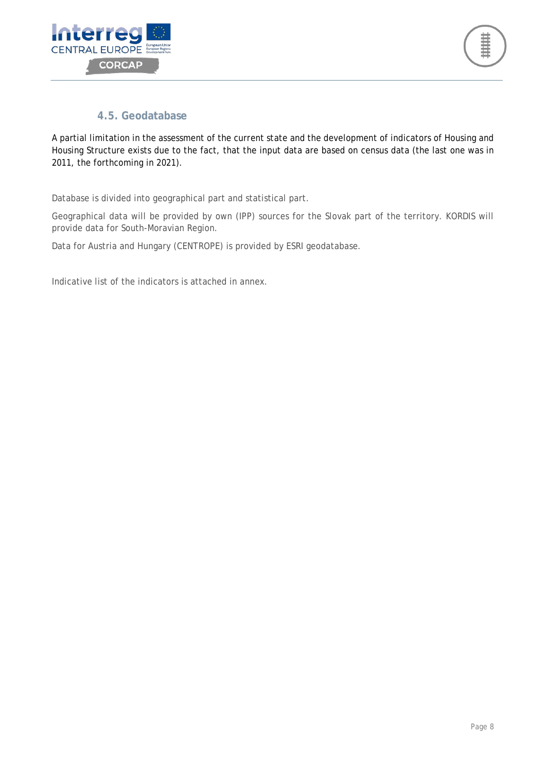



#### **4.5. Geodatabase**

<span id="page-7-0"></span>A partial limitation in the assessment of the current state and the development of indicators of Housing and Housing Structure exists due to the fact, that the input data are based on census data (the last one was in 2011, the forthcoming in 2021).

Database is divided into geographical part and statistical part.

Geographical data will be provided by own (IPP) sources for the Slovak part of the territory. KORDIS will provide data for South-Moravian Region.

Data for Austria and Hungary (CENTROPE) is provided by ESRI geodatabase.

Indicative list of the indicators is attached in annex.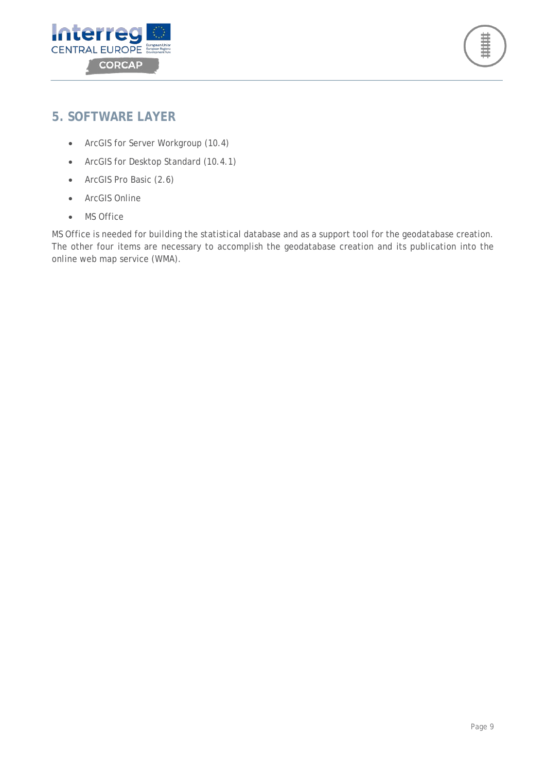



### <span id="page-8-0"></span>**5. SOFTWARE LAYER**

- ArcGIS for Server Workgroup (10.4)
- ArcGIS for Desktop Standard (10.4.1)
- ArcGIS Pro Basic (2.6)
- ArcGIS Online
- MS Office

MS Office is needed for building the statistical database and as a support tool for the geodatabase creation. The other four items are necessary to accomplish the geodatabase creation and its publication into the online web map service (WMA).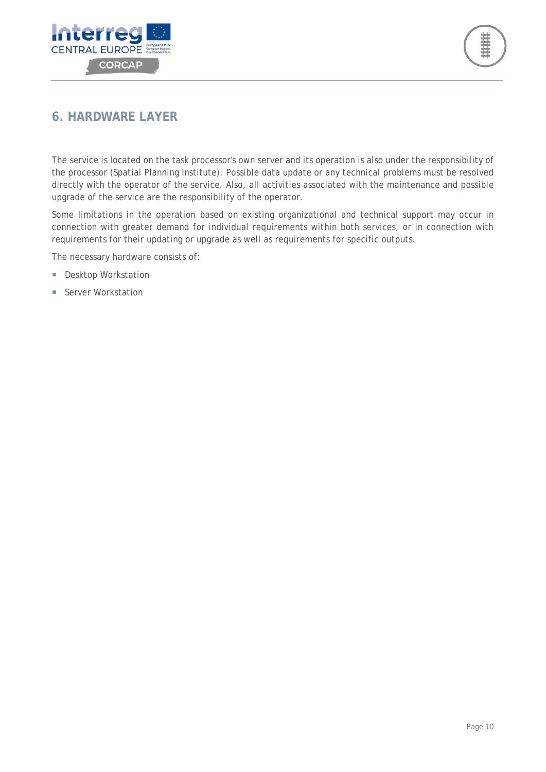



## <span id="page-9-0"></span>**6. HARDWARE LAYER**

The service is located on the task processor's own server and its operation is also under the responsibility of the processor (Spatial Planning Institute). Possible data update or any technical problems must be resolved directly with the operator of the service. Also, all activities associated with the maintenance and possible upgrade of the service are the responsibility of the operator.

Some limitations in the operation based on existing organizational and technical support may occur in connection with greater demand for individual requirements within both services, or in connection with requirements for their updating or upgrade as well as requirements for specific outputs.

The necessary hardware consists of:

- **Desktop Workstation**
- Server Workstation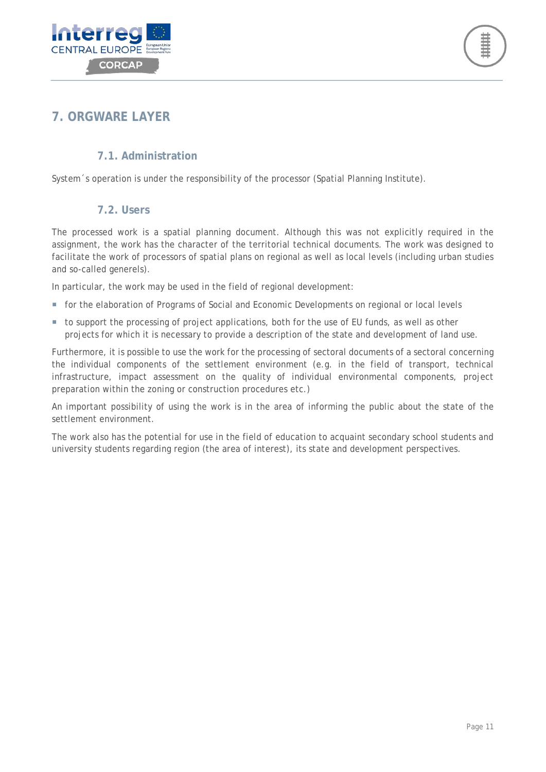



## <span id="page-10-0"></span>**7. ORGWARE LAYER**

#### **7.1. Administration**

<span id="page-10-1"></span>System 's operation is under the responsibility of the processor (Spatial Planning Institute).

#### **7.2. Users**

<span id="page-10-2"></span>The processed work is a spatial planning document. Although this was not explicitly required in the assignment, the work has the character of the territorial technical documents. The work was designed to facilitate the work of processors of spatial plans on regional as well as local levels (including urban studies and so-called generels).

In particular, the work may be used in the field of regional development:

- **for the elaboration of Programs of Social and Economic Developments on regional or local levels**
- to support the processing of project applications, both for the use of EU funds, as well as other projects for which it is necessary to provide a description of the state and development of land use.

Furthermore, it is possible to use the work for the processing of sectoral documents of a sectoral concerning the individual components of the settlement environment (e.g. in the field of transport, technical infrastructure, impact assessment on the quality of individual environmental components, project preparation within the zoning or construction procedures etc.)

An important possibility of using the work is in the area of informing the public about the state of the settlement environment.

The work also has the potential for use in the field of education to acquaint secondary school students and university students regarding region (the area of interest), its state and development perspectives.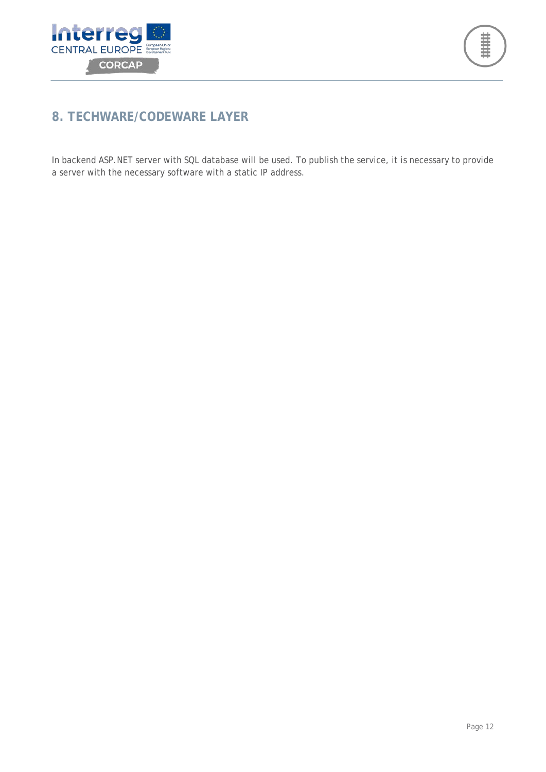



## <span id="page-11-0"></span>**8. TECHWARE/CODEWARE LAYER**

In backend ASP.NET server with SQL database will be used. To publish the service, it is necessary to provide a server with the necessary software with a static IP address.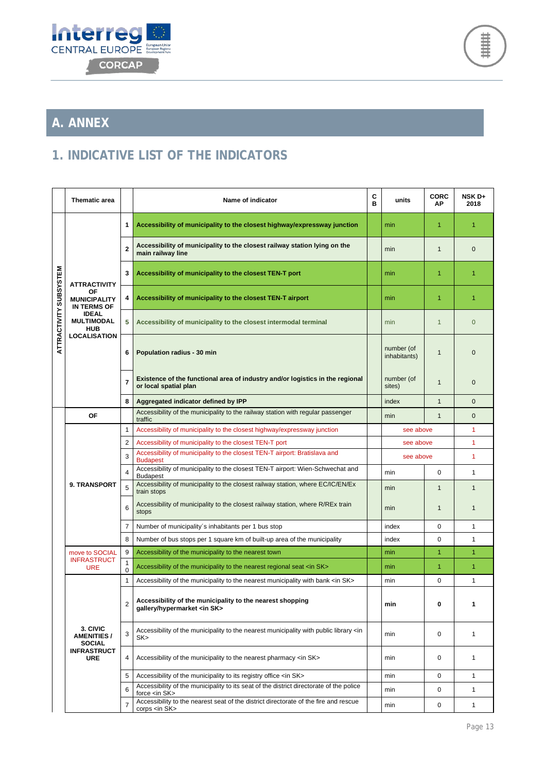



# <span id="page-12-0"></span>**A. ANNEX**

## <span id="page-12-1"></span>**1. INDICATIVE LIST OF THE INDICATORS**

|                        | <b>Thematic area</b>                                                                                                                             |                | Name of indicator                                                                                                | С<br>в | units                      | <b>CORC</b><br>ΑP | <b>NSK D+</b><br>2018 |
|------------------------|--------------------------------------------------------------------------------------------------------------------------------------------------|----------------|------------------------------------------------------------------------------------------------------------------|--------|----------------------------|-------------------|-----------------------|
| ATTRACTIVITY SUBSYSTEM | <b>ATTRACTIVITY</b><br>ΟF<br><b>MUNICIPALITY</b><br><b>IN TERMS OF</b><br><b>IDEAL</b><br><b>MULTIMODAL</b><br><b>HUB</b><br><b>LOCALISATION</b> | 1              | Accessibility of municipality to the closest highway/expressway junction                                         |        | min                        | $\mathbf{1}$      | 1                     |
|                        |                                                                                                                                                  | $\mathbf{2}$   | Accessibility of municipality to the closest railway station lying on the<br>main railway line                   |        | min                        | $\mathbf{1}$      | $\mathbf{0}$          |
|                        |                                                                                                                                                  | 3              | Accessibility of municipality to the closest TEN-T port                                                          |        | min                        | $\mathbf{1}$      | $\mathbf{1}$          |
|                        |                                                                                                                                                  | 4              | Accessibility of municipality to the closest TEN-T airport                                                       |        | min                        | 1                 | 1                     |
|                        |                                                                                                                                                  | 5              | Accessibility of municipality to the closest intermodal terminal                                                 |        | min                        | $\mathbf{1}$      | $\overline{0}$        |
|                        |                                                                                                                                                  | 6              | Population radius - 30 min                                                                                       |        | number (of<br>inhabitants) | $\mathbf{1}$      | $\mathbf{0}$          |
|                        |                                                                                                                                                  | $\overline{7}$ | Existence of the functional area of industry and/or logistics in the regional<br>or local spatial plan           |        | number (of<br>sites)       | $\mathbf{1}$      | $\mathbf 0$           |
|                        |                                                                                                                                                  | 8              | Aggregated indicator defined by IPP                                                                              |        | index                      | $\mathbf{1}$      | $\Omega$              |
|                        | <b>OF</b>                                                                                                                                        |                | Accessibility of the municipality to the railway station with regular passenger<br>traffic                       |        | min                        | $\mathbf{1}$      | $\mathbf{0}$          |
|                        | 9. TRANSPORT                                                                                                                                     | 1              | Accessibility of municipality to the closest highway/expressway junction                                         |        | see above                  |                   | $\mathbf{1}$          |
|                        |                                                                                                                                                  | $\overline{2}$ | Accessibility of municipality to the closest TEN-T port                                                          |        | see above                  |                   | 1                     |
|                        |                                                                                                                                                  | 3              | Accessibility of municipality to the closest TEN-T airport: Bratislava and<br><b>Budapest</b>                    |        | see above                  |                   | $\mathbf{1}$          |
|                        |                                                                                                                                                  | 4              | Accessibility of municipality to the closest TEN-T airport: Wien-Schwechat and<br><b>Budapest</b>                |        | min                        | $\Omega$          | $\mathbf{1}$          |
|                        |                                                                                                                                                  | 5              | Accessibility of municipality to the closest railway station, where EC/IC/EN/Ex<br>train stops                   |        | min                        | $\mathbf{1}$      | $\mathbf{1}$          |
|                        |                                                                                                                                                  | 6              | Accessibility of municipality to the closest railway station, where R/REx train<br>stops                         |        | min                        | $\mathbf{1}$      | $\mathbf{1}$          |
|                        |                                                                                                                                                  | 7              | Number of municipality's inhabitants per 1 bus stop                                                              |        | index                      | 0                 | $\mathbf{1}$          |
|                        |                                                                                                                                                  | 8              | Number of bus stops per 1 square km of built-up area of the municipality                                         |        | index                      | $\mathbf 0$       | $\mathbf{1}$          |
|                        | move to SOCIAL<br><b>INFRASTRUCT</b><br><b>URE</b>                                                                                               | 9              | Accessibility of the municipality to the nearest town                                                            |        | min                        | 1                 | 1                     |
|                        |                                                                                                                                                  | 1<br>0         | Accessibility of the municipality to the nearest regional seat <in sk=""></in>                                   |        | min                        | $\overline{1}$    | $\mathbf{1}$          |
|                        | 3. CIVIC<br><b>AMENITIES /</b><br><b>SOCIAL</b><br><b>INFRASTRUCT</b><br><b>URE</b>                                                              | $\mathbf{1}$   | Accessibility of the municipality to the nearest municipality with bank <in sk=""></in>                          |        | min                        | 0                 | $\mathbf{1}$          |
|                        |                                                                                                                                                  | $\overline{2}$ | Accessibility of the municipality to the nearest shopping<br>gallery/hypermarket <in sk=""></in>                 |        | min                        | 0                 | 1                     |
|                        |                                                                                                                                                  | 3              | Accessibility of the municipality to the nearest municipality with public library <in<br>SK &gt;</in<br>         |        | min                        | $\mathbf 0$       | 1                     |
|                        |                                                                                                                                                  | 4              | Accessibility of the municipality to the nearest pharmacy <in sk=""></in>                                        |        | min                        | 0                 | 1                     |
|                        |                                                                                                                                                  | 5              | Accessibility of the municipality to its registry office <in sk=""></in>                                         |        | min                        | $\mathbf 0$       | $\mathbf{1}$          |
|                        |                                                                                                                                                  | 6              | Accessibility of the municipality to its seat of the district directorate of the police<br>force <in sk=""></in> |        | min                        | 0                 | 1                     |
|                        |                                                                                                                                                  | $\overline{7}$ | Accessibility to the nearest seat of the district directorate of the fire and rescue<br>corps <in sk=""></in>    |        | min                        | 0                 | 1                     |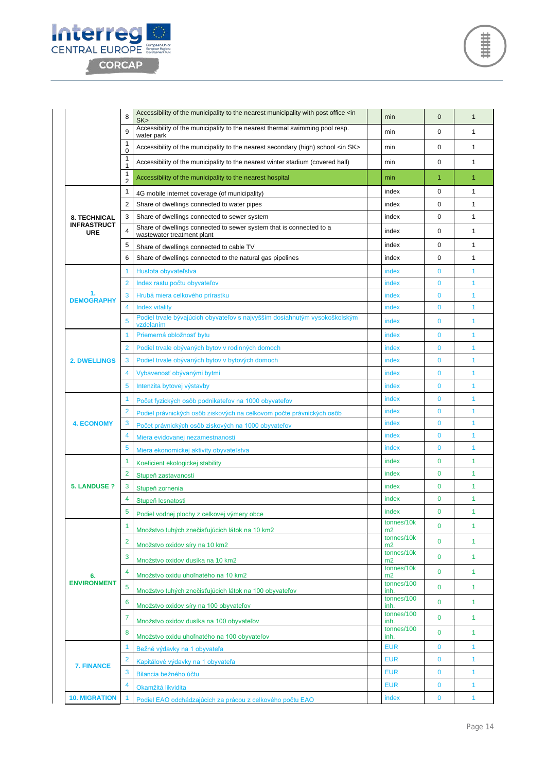

|                                  | 8                              | Accessibility of the municipality to the nearest municipality with post office <in<br>SK</in<br>       | min                          | $\mathbf{0}$   | $\mathbf{1}$   |
|----------------------------------|--------------------------------|--------------------------------------------------------------------------------------------------------|------------------------------|----------------|----------------|
|                                  | 9                              | Accessibility of the municipality to the nearest thermal swimming pool resp.                           | min                          | 0              | 1              |
|                                  | 1<br>$\Omega$                  | water park<br>Accessibility of the municipality to the nearest secondary (high) school <in sk=""></in> | min                          | 0              | $\mathbf{1}$   |
|                                  | 1<br>1                         | Accessibility of the municipality to the nearest winter stadium (covered hall)                         | min                          | 0              | $\mathbf{1}$   |
|                                  | 1                              | Accessibility of the municipality to the nearest hospital                                              | min                          | $\mathbf{1}$   | $\overline{1}$ |
|                                  | $\overline{2}$<br>$\mathbf{1}$ | 4G mobile internet coverage (of municipality)                                                          | index                        | 0              | 1              |
|                                  | 2                              | Share of dwellings connected to water pipes                                                            | index                        | 0              | $\mathbf{1}$   |
| <b>8. TECHNICAL</b>              | 3                              | Share of dwellings connected to sewer system                                                           | index                        | 0              | $\mathbf{1}$   |
| <b>INFRASTRUCT</b><br><b>URE</b> | 4                              | Share of dwellings connected to sewer system that is connected to a                                    | index                        | 0              | 1              |
|                                  | 5                              | wastewater treatment plant<br>Share of dwellings connected to cable TV                                 | index                        | 0              | $\mathbf{1}$   |
|                                  | 6                              | Share of dwellings connected to the natural gas pipelines                                              | index                        | 0              | $\mathbf{1}$   |
|                                  | 1                              | Hustota obyvateľstva                                                                                   | index                        | $\mathbf 0$    | $\mathbf{1}$   |
|                                  | $\overline{2}$                 | Index rastu počtu obyvateľov                                                                           | index                        | $\mathbf 0$    | 1              |
| 1.                               | 3                              | Hrubá miera celkového prírastku                                                                        | index                        | $\mathbf 0$    | 1              |
| <b>DEMOGRAPHY</b>                | 4                              | <b>Index vitality</b>                                                                                  | index                        | $\mathbf{0}$   | 1              |
|                                  | 5                              | Podiel trvale bývajúcich obyvateľov s najvyšším dosiahnutým vysokoškolským<br>vzdelaním                | index                        | $\overline{0}$ | $\mathbf{1}$   |
|                                  | 1                              | Priemerná obložnosť bytu                                                                               | index                        | $\mathbf 0$    | 1              |
|                                  | 2                              | Podiel trvale obývaných bytov v rodinných domoch                                                       | index                        | $\mathbf{0}$   | $\mathbf{1}$   |
| <b>2. DWELLINGS</b>              | 3                              | Podiel trvale obývaných bytov v bytových domoch                                                        | index                        | $\mathbf 0$    | 1              |
|                                  | 4                              | Vybavenosť obývanými bytmi                                                                             | index                        | $\mathbf{0}$   | $\mathbf{1}$   |
|                                  | 5                              | Intenzita bytovej výstavby                                                                             | index                        | $\mathbf 0$    | 1              |
|                                  | 1                              | Počet fyzických osôb podnikateľov na 1000 obyvateľov                                                   | index                        | $\mathbf 0$    | 1              |
|                                  | 2                              | Podiel právnických osôb ziskových na celkovom počte právnických osôb                                   | index                        | $\mathbf 0$    | 1              |
| <b>4. ECONOMY</b>                | 3                              | Počet právnických osôb ziskových na 1000 obyvateľov                                                    | index                        | $\mathbf 0$    | 1              |
|                                  | 4                              | Miera evidovanej nezamestnanosti                                                                       | index                        | $\mathbf 0$    | 1              |
|                                  | 5                              | Miera ekonomickej aktivity obyvateľstva                                                                | index                        | $\Omega$       | 1              |
|                                  | 1                              | Koeficient ekologickej stability                                                                       | index                        | $\mathbf{0}$   | $\mathbf{1}$   |
|                                  | 2                              | Stupeň zastavanosti                                                                                    | index                        | $\mathbf{0}$   | $\mathbf{1}$   |
| <b>5. LANDUSE?</b>               | 3                              | Stupeň zornenia                                                                                        | index                        | 0              | $\mathbf{1}$   |
|                                  | 4                              | Stupeň lesnatosti                                                                                      | index                        | 0              | $\mathbf{1}$   |
|                                  | 5                              | Podiel vodnej plochy z celkovej výmery obce                                                            | index                        | 0              | 1              |
|                                  | 1                              | Množstvo tuhých znečisťujúcich látok na 10 km2                                                         | tonnes/10k<br>m <sub>2</sub> | $\mathbf{0}$   | 1              |
|                                  | $\overline{2}$                 | Množstvo oxidov síry na 10 km2                                                                         | tonnes/10k<br>m2             | $\Omega$       | $\mathbf{1}$   |
|                                  | 3                              | Množstvo oxidov dusíka na 10 km2                                                                       | tonnes/10k<br>m2             | $\mathbf{0}$   | $\mathbf{1}$   |
| 6.                               |                                | Množstvo oxidu uhoľnatého na 10 km2                                                                    | tonnes/10k<br>m2             | $\mathbf{0}$   | $\mathbf{1}$   |
| <b>ENVIRONMENT</b>               | 5                              | Množstvo tuhých znečisťujúcich látok na 100 obyvateľov                                                 | tonnes/100<br>inh.           | $\mathbf{0}$   | $\mathbf{1}$   |
|                                  | 6                              |                                                                                                        | tonnes/100                   | $\mathbf 0$    | $\mathbf{1}$   |
|                                  | 7                              | Množstvo oxidov síry na 100 obyvateľov                                                                 | inh.<br>tonnes/100           | $\mathbf 0$    | $\mathbf{1}$   |
|                                  | 8                              | Množstvo oxidov dusíka na 100 obyvateľov                                                               | inh.<br>tonnes/100           | $\mathbf 0$    | $\mathbf{1}$   |
|                                  | $\overline{1}$                 | Množstvo oxidu uhoľnatého na 100 obyvateľov                                                            | inh.<br><b>EUR</b>           | $\mathbf{0}$   | $\mathbf{1}$   |
|                                  | $\overline{2}$                 | Bežné výdavky na 1 obyvateľa                                                                           | <b>EUR</b>                   | $\bf{0}$       | $\mathbf{1}$   |
| 7. FINANCE                       | 3                              | Kapitálové výdavky na 1 obyvateľa<br>Bilancia bežného účtu                                             | <b>EUR</b>                   | $\mathbf 0$    | $\mathbf{1}$   |
|                                  | 4                              | Okamžitá likvidita                                                                                     | <b>EUR</b>                   | $\mathbf 0$    | $\mathbf{1}$   |
| <b>10. MIGRATION</b>             |                                | Podiel EAO odchádzajúcich za prácou z celkového počtu EAO                                              | index                        | $\mathbf 0$    | $\mathbf{1}$   |